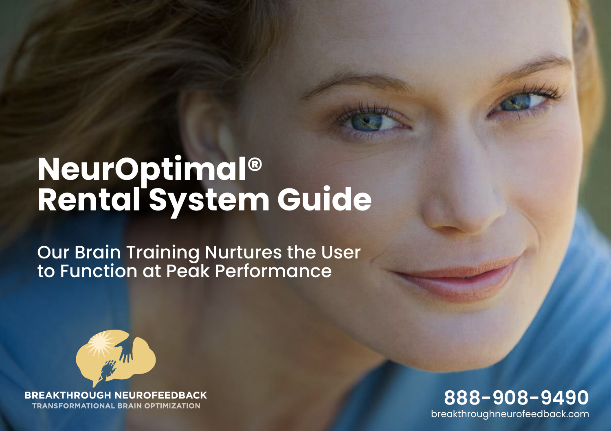# **NeurOptimal® Rental System Guide**

Our Brain Training Nurtures the User to Function at Peak Performance



**BREAKTHROUGH NEUROFEEDBACK TRANSFORMATIONAL BRAIN OPTIMIZATION** 

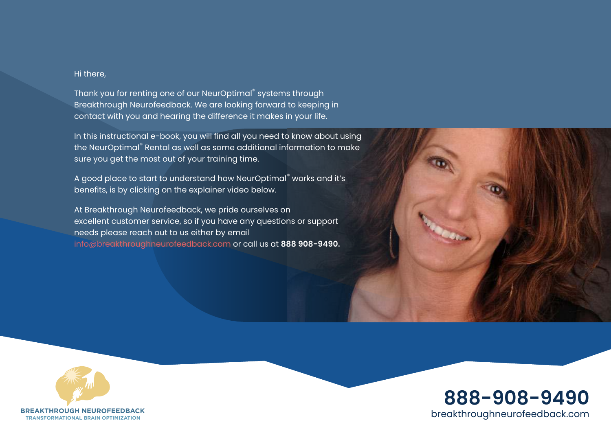#### Hi there,

Thank you for renting one of our NeurOptimal® systems through Breakthrough Neurofeedback. We are looking forward to keeping in contact with you and hearing the difference it makes in your life.

In this instructional e-book, you will find all you need to know about using the NeurOptimal® Rental as well as some additional information to make sure you get the most out of your training time.

A good place to start to understand how NeurOptimal® works and it's benefits, is by clicking on the explainer video below.

At Breakthrough Neurofeedback, we pride ourselves on excellent customer service, so if you have any questions or support needs please reach out to us either by email [info@breakthroughneurofeedback.](mailto:info%40breakthroughneurofeedback.com?subject=)com or call us at **888 908-9490.**





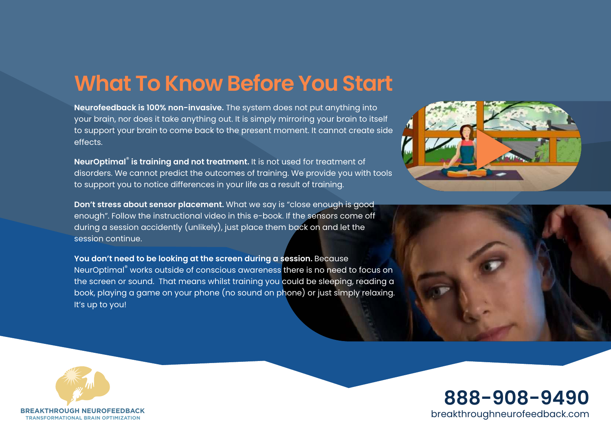# **What To Know Before You Start**

**Neurofeedback is 100% non-invasive.** The system does not put anything into your brain, nor does it take anything out. It is simply mirroring your brain to itself to support your brain to come back to the present moment. It cannot create side effects.

**NeurOptimal**®  **is training and not treatment.** It is not used for treatment of disorders. We cannot predict the outcomes of training. We provide you with tools to support you to notice differences in your life as a result of training.

**Don't stress about sensor placement.** What we say is "close enough is good enough". Follow the instructional video in this e-book. If the sensors come off during a session accidently (unlikely), just place them back on and let the session continue.

**You don't need to be looking at the screen during a session.** Because NeurOptimal® works outside of conscious awareness there is no need to focus on the screen or sound. That means whilst training you could be sleeping, reading a book, playing a game on your phone (no sound on phone) or just simply relaxing. It's up to you!







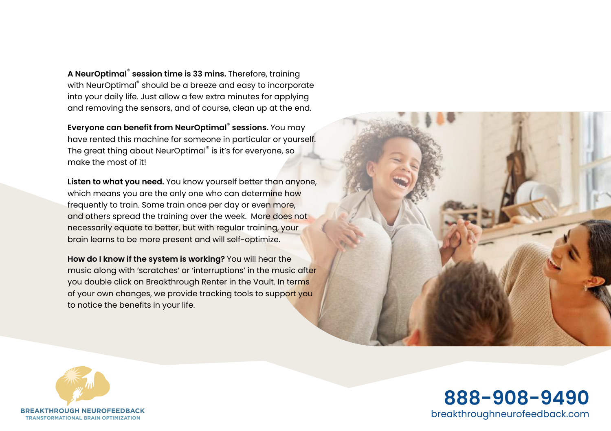**A NeurOptimal**®  **session time is 33 mins.** Therefore, training with NeurOptimal® should be a breeze and easy to incorporate into your daily life. Just allow a few extra minutes for applying and removing the sensors, and of course, clean up at the end.

**Everyone can benefit from NeurOptimal**®  **sessions.** You may have rented this machine for someone in particular or yourself. The great thing about NeurOptimal® is it's for everyone, so make the most of it!

**Listen to what you need.** You know yourself better than anyone, which means you are the only one who can determine how frequently to train. Some train once per day or even more, and others spread the training over the week. More does not necessarily equate to better, but with regular training, your brain learns to be more present and will self-optimize.

**How do I know if the system is working?** You will hear the music along with 'scratches' or 'interruptions' in the music after you double click on Breakthrough Renter in the Vault. In terms of your own changes, we provide tracking tools to support you to notice the benefits in your life.





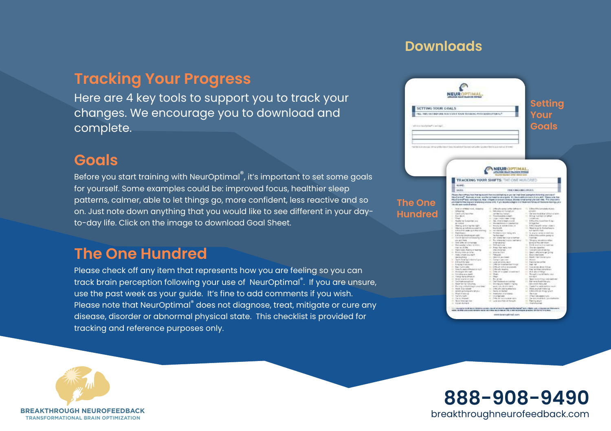#### **Downloads**

#### **Tracking Your Progress**

Here are 4 key tools to support you to track your changes. We encourage you to download and complete.

#### **Goals**

Before you start training with NeurOptimal®, it's important to set some goals for yourself. Some examples could be: improved focus, healthier sleep patterns, calmer, able to let things go, more confident, less reactive and so on. Just note down anything that you would like to see different in your dayto-day life. Click on the image to download Goal Sheet.

#### **The One Hundred**

Please check off any item that represents how you are feeling so you can track brain perception following your use of NeurOptimal® . If you are unsure, use the past week as your guide. It's fine to add comments if you wish. Please note that NeurOptimal® does not diagnose, treat, mitigate or cure any disease, disorder or abnormal physical state. This checklist is provided for tracking and reference purposes only.





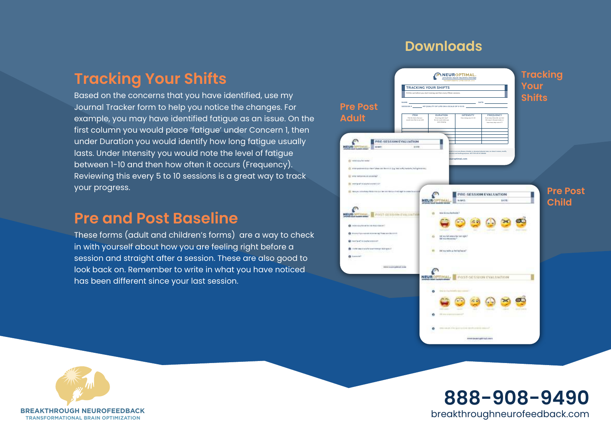#### **Downloads**

#### **Tracking Your Shifts**

Based on the concerns that you have identified, use my Journal Tracker form to help you notice the changes. For example, you may have identified fatigue as an issue. On the first column you would place 'fatigue' under Concern 1, then under Duration you would identify how long fatigue usually lasts. Under Intensity you would note the level of fatigue between 1-10 and then how often it occurs (Frequency). Reviewing this every 5 to 10 sessions is a great way to track your progress.

#### **Pre and Post Baseline**

These forms (adult and children's forms) are a way to check in with yourself about how you are feeling right before a session and straight after a session. These are also good to look back on. Remember to write in what you have noticed has been different since your last session.





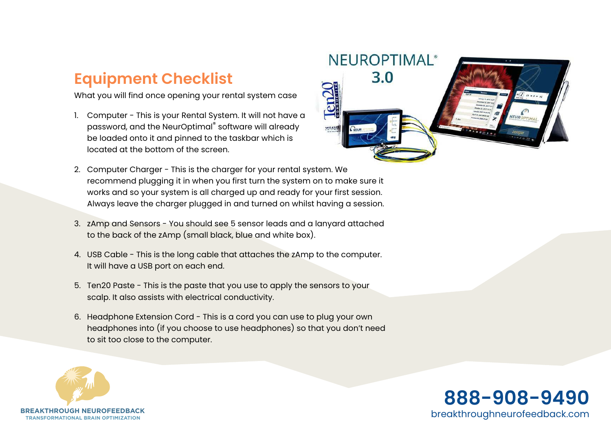## **Equipment Checklist**

What you will find once opening your rental system case

- 1. Computer This is your Rental System. It will not have a password, and the NeurOptimal® software will already be loaded onto it and pinned to the taskbar which is located at the bottom of the screen.
- 2. Computer Charger This is the charger for your rental system. We recommend plugging it in when you first turn the system on to make sure it works and so your system is all charged up and ready for your first session. Always leave the charger plugged in and turned on whilst having a session.
- 3. zAmp and Sensors You should see 5 sensor leads and a lanyard attached to the back of the zAmp (small black, blue and white box).
- 4. USB Cable This is the long cable that attaches the zAmp to the computer. It will have a USB port on each end.
- 5. Ten20 Paste This is the paste that you use to apply the sensors to your scalp. It also assists with electrical conductivity.
- 6. Headphone Extension Cord This is a cord you can use to plug your own headphones into (if you choose to use headphones) so that you don't need to sit too close to the computer.





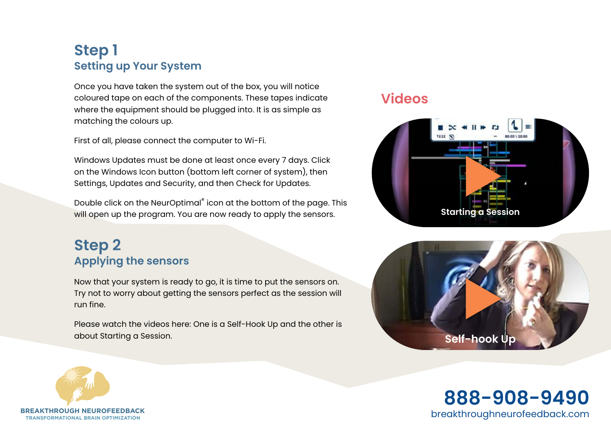#### **Step 1 Setting up Your System**

Once you have taken the system out of the box, you will notice coloured tape on each of the components. These tapes indicate where the equipment should be plugged into. It is as simple as matching the colours up.

First of all, please connect the computer to Wi-Fi.

Windows Updates must be done at least once every 7 days. Click on the Windows Icon button (bottom left corner of system), then Settings, Updates and Security, and then Check for Updates.

Double click on the NeurOptimal® icon at the bottom of the page. This will open up the program. You are now ready to apply the sensors.

#### **Step 2 Applying the sensors**

Now that your system is ready to go, it is time to put the sensors on. Try not to worry about getting the sensors perfect as the session will run fine.

Please watch the videos here: One is a Self-Hook Up and the other is about Starting a Session. **[Self-hook Up](https://breakthroughneurofeedback.com/tutorials/)**

#### **Videos**





**TRANSFORMATIONAL BRAIN OPTIMIZATION**<br>TRANSFORMATIONAL BRAIN OPTIMIZATION **888-908-9490**

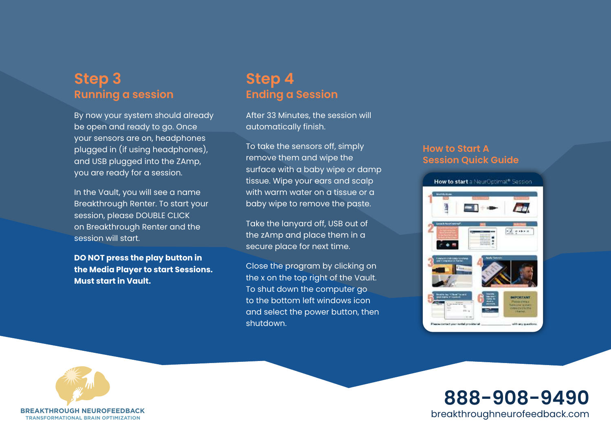#### **Step 3 Running a session**

By now your system should already be open and ready to go. Once your sensors are on, headphones plugged in (if using headphones), and USB plugged into the ZAmp, you are ready for a session.

In the Vault, you will see a name Breakthrough Renter. To start your session, please DOUBLE CLICK on Breakthrough Renter and the session will start.

**DO NOT press the play button in the Media Player to start Sessions. Must start in Vault.**

#### **Step 4 Ending a Session**

After 33 Minutes, the session will automatically finish.

To take the sensors off, simply remove them and wipe the surface with a baby wipe or damp tissue. Wipe your ears and scalp with warm water on a tissue or a baby wipe to remove the paste.

Take the lanyard off, USB out of the zAmp and place them in a secure place for next time.

Close the program by clicking on the x on the top right of the Vault. To shut down the computer go to the bottom left windows icon and select the power button, then shutdown.

#### **How to Start A Session Quick Guide**





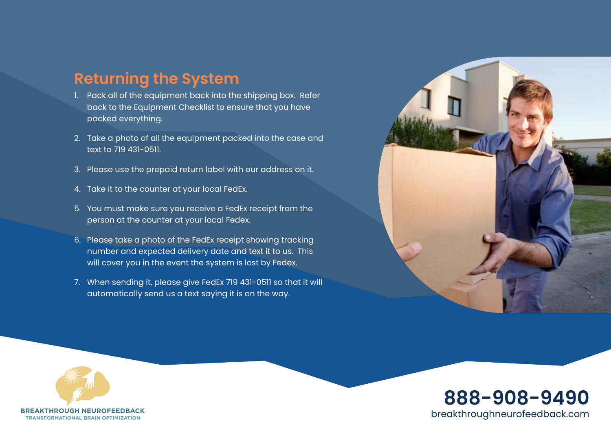#### **Returning the System**

- 1. Pack all of the equipment back into the shipping box. Refer back to the Equipment Checklist to ensure that you have packed everything.
- 2. Take a photo of all the equipment packed into the case and text to 719 431-0511.
- 3. Please use the prepaid return label with our address on it.
- 4. Take it to the counter at your local FedEx.
- 5. You must make sure you receive a FedEx receipt from the person at the counter at your local Fedex.
- 6. Please take a photo of the FedEx receipt showing tracking number and expected delivery date and text it to us. This will cover you in the event the system is lost by Fedex.
- 7. When sending it, please give FedEx 719 431-0511 so that it will automatically send us a text saying it is on the way.





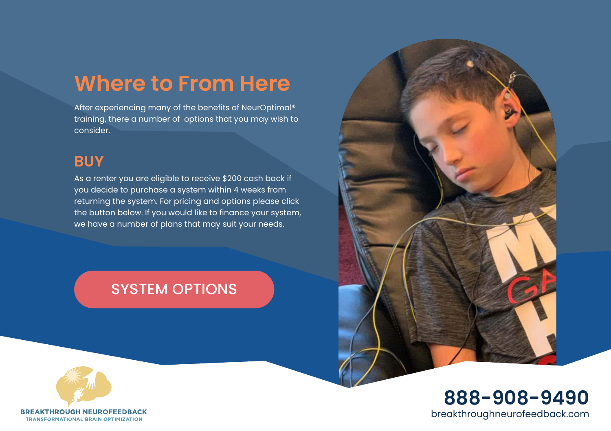## **Where to From Here**

After experiencing many of the benefits of NeurOptimal® training, there a number of options that you may wish to consider.

#### **BUY**

As a renter you are eligible to receive \$200 cash back if you decide to purchase a system within 4 weeks from returning the system. For pricing and options please click the button below. If you would like to finance your system, we have a number of plans that may suit your needs.

### [SYSTEM OPTIONS](https://breakthroughneurofeedback.com/buy-a-personal-system/)